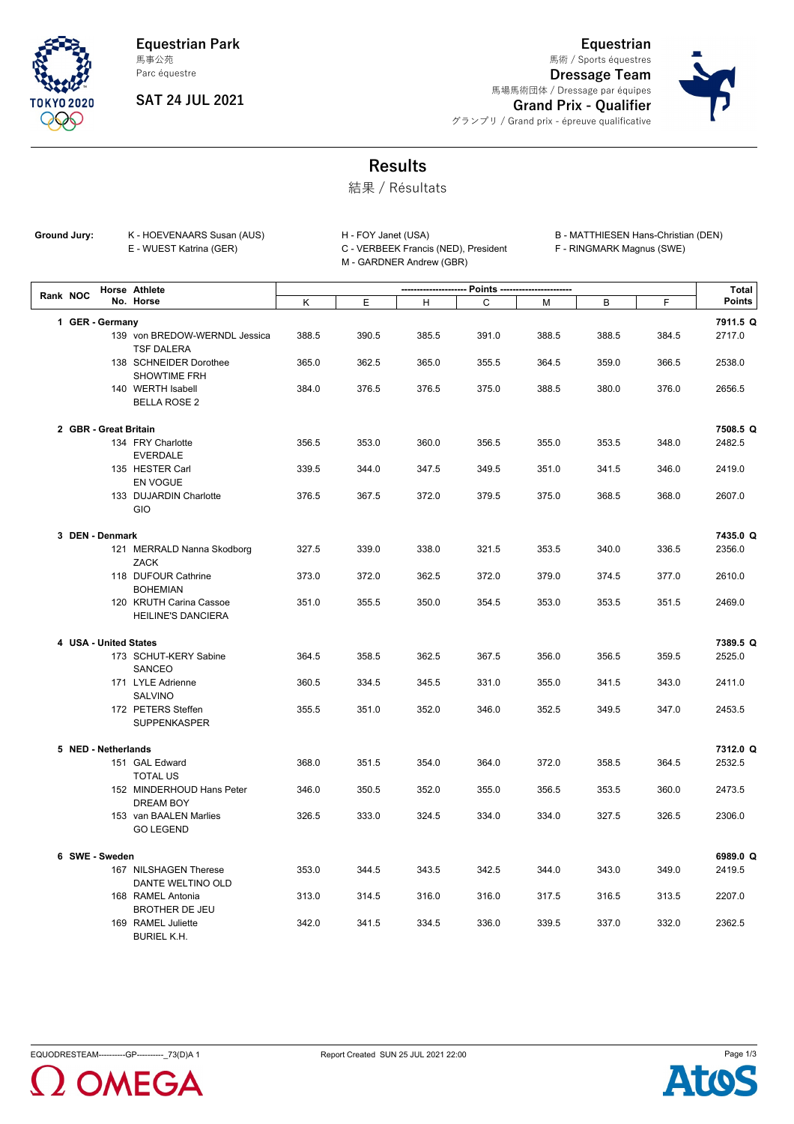**Equestrian Park** 馬事公苑



## Parc équestre

**SAT 24 JUL 2021**

**Equestrian Dressage Team** 馬場馬術団体 / Dressage par équipes **Grand Prix - Qualifier** 馬術 / Sports équestres



グランプリ / Grand prix - épreuve qualificative

## **Results**

結果 / Résultats

Ground Jury: K - HOEVENAARS Susan (AUS) E - WUEST Katrina (GER) C - VERBEEK Francis (NED), President

M - GARDNER Andrew (GBR)

H - FOY Janet (USA) B - MATTHIESEN Hans-Christian (DEN)

F - RINGMARK Magnus (SWE)

| Rank NOC |                 |                       | Horse Athlete<br>No. Horse          | Points ----------------------- |       |       |       |       |       |          |                    |
|----------|-----------------|-----------------------|-------------------------------------|--------------------------------|-------|-------|-------|-------|-------|----------|--------------------|
|          |                 |                       |                                     | Κ                              | Е     | н     | C     | М     | В     | F        | <b>Points</b>      |
|          | 1 GER - Germany |                       |                                     |                                |       |       |       |       |       | 7911.5 Q |                    |
|          |                 |                       | 139 von BREDOW-WERNDL Jessica       | 388.5                          | 390.5 | 385.5 | 391.0 | 388.5 | 388.5 | 384.5    | 2717.0             |
|          |                 |                       | <b>TSF DALERA</b>                   |                                |       |       |       |       |       |          |                    |
|          |                 |                       | 138 SCHNEIDER Dorothee              | 365.0                          | 362.5 | 365.0 | 355.5 | 364.5 | 359.0 | 366.5    | 2538.0             |
|          |                 |                       | <b>SHOWTIME FRH</b>                 |                                |       |       |       |       |       |          |                    |
|          |                 |                       | 140 WERTH Isabell                   | 384.0                          | 376.5 | 376.5 | 375.0 | 388.5 | 380.0 | 376.0    | 2656.5             |
|          |                 |                       | <b>BELLA ROSE 2</b>                 |                                |       |       |       |       |       |          |                    |
|          |                 | 2 GBR - Great Britain |                                     |                                |       |       |       |       |       |          | 7508.5 Q           |
|          |                 |                       | 134 FRY Charlotte                   | 356.5                          | 353.0 | 360.0 | 356.5 | 355.0 | 353.5 | 348.0    | 2482.5             |
|          |                 |                       | <b>EVERDALE</b>                     |                                |       |       |       |       |       |          |                    |
|          |                 |                       | 135 HESTER Carl                     | 339.5                          | 344.0 | 347.5 | 349.5 | 351.0 | 341.5 | 346.0    | 2419.0             |
|          |                 |                       | EN VOGUE                            |                                |       |       |       |       |       |          |                    |
|          |                 |                       | 133 DUJARDIN Charlotte              | 376.5                          | 367.5 | 372.0 | 379.5 | 375.0 | 368.5 | 368.0    | 2607.0             |
|          |                 |                       | GIO                                 |                                |       |       |       |       |       |          |                    |
|          |                 |                       |                                     |                                |       |       |       |       |       |          |                    |
|          |                 | 3 DEN - Denmark       | 121 MERRALD Nanna Skodborg          | 327.5                          | 339.0 | 338.0 | 321.5 | 353.5 | 340.0 | 336.5    | 7435.0 Q<br>2356.0 |
|          |                 |                       | <b>ZACK</b>                         |                                |       |       |       |       |       |          |                    |
|          |                 |                       | 118 DUFOUR Cathrine                 | 373.0                          | 372.0 | 362.5 | 372.0 | 379.0 | 374.5 | 377.0    | 2610.0             |
|          |                 |                       | <b>BOHEMIAN</b>                     |                                |       |       |       |       |       |          |                    |
|          |                 |                       | 120 KRUTH Carina Cassoe             | 351.0                          | 355.5 | 350.0 | 354.5 | 353.0 | 353.5 | 351.5    | 2469.0             |
|          |                 |                       | <b>HEILINE'S DANCIERA</b>           |                                |       |       |       |       |       |          |                    |
|          |                 |                       |                                     |                                |       |       |       |       |       |          |                    |
|          |                 | 4 USA - United States |                                     |                                |       |       |       |       |       |          | 7389.5 Q           |
|          |                 |                       | 173 SCHUT-KERY Sabine               | 364.5                          | 358.5 | 362.5 | 367.5 | 356.0 | 356.5 | 359.5    | 2525.0             |
|          |                 |                       | SANCEO                              |                                |       |       |       |       |       |          |                    |
|          |                 |                       | 171 LYLE Adrienne<br><b>SALVINO</b> | 360.5                          | 334.5 | 345.5 | 331.0 | 355.0 | 341.5 | 343.0    | 2411.0             |
|          |                 |                       | 172 PETERS Steffen                  | 355.5                          | 351.0 | 352.0 | 346.0 | 352.5 | 349.5 | 347.0    | 2453.5             |
|          |                 |                       | SUPPENKASPER                        |                                |       |       |       |       |       |          |                    |
|          |                 |                       |                                     |                                |       |       |       |       |       |          |                    |
|          |                 | 5 NED - Netherlands   |                                     |                                |       |       |       |       |       |          | 7312.0 Q           |
|          |                 |                       | 151 GAL Edward                      | 368.0                          | 351.5 | 354.0 | 364.0 | 372.0 | 358.5 | 364.5    | 2532.5             |
|          |                 |                       | <b>TOTAL US</b>                     |                                |       |       |       |       |       |          |                    |
|          |                 |                       | 152 MINDERHOUD Hans Peter           | 346.0                          | 350.5 | 352.0 | 355.0 | 356.5 | 353.5 | 360.0    | 2473.5             |
|          |                 |                       | DREAM BOY                           |                                |       |       |       |       |       |          |                    |
|          |                 |                       | 153 van BAALEN Marlies              | 326.5                          | 333.0 | 324.5 | 334.0 | 334.0 | 327.5 | 326.5    | 2306.0             |
|          |                 |                       | <b>GO LEGEND</b>                    |                                |       |       |       |       |       |          |                    |
|          |                 | 6 SWE - Sweden        |                                     |                                |       |       |       |       |       |          | 6989.0 Q           |
|          |                 |                       | 167 NILSHAGEN Therese               | 353.0                          | 344.5 | 343.5 | 342.5 | 344.0 | 343.0 | 349.0    | 2419.5             |
|          |                 |                       | DANTE WELTINO OLD                   |                                |       |       |       |       |       |          |                    |
|          |                 |                       | 168 RAMEL Antonia                   | 313.0                          | 314.5 | 316.0 | 316.0 | 317.5 | 316.5 | 313.5    | 2207.0             |
|          |                 |                       | <b>BROTHER DE JEU</b>               |                                |       |       |       |       |       |          |                    |
|          |                 |                       | 169 RAMEL Juliette                  | 342.0                          | 341.5 | 334.5 | 336.0 | 339.5 | 337.0 | 332.0    | 2362.5             |
|          |                 |                       | <b>BURIEL K.H.</b>                  |                                |       |       |       |       |       |          |                    |



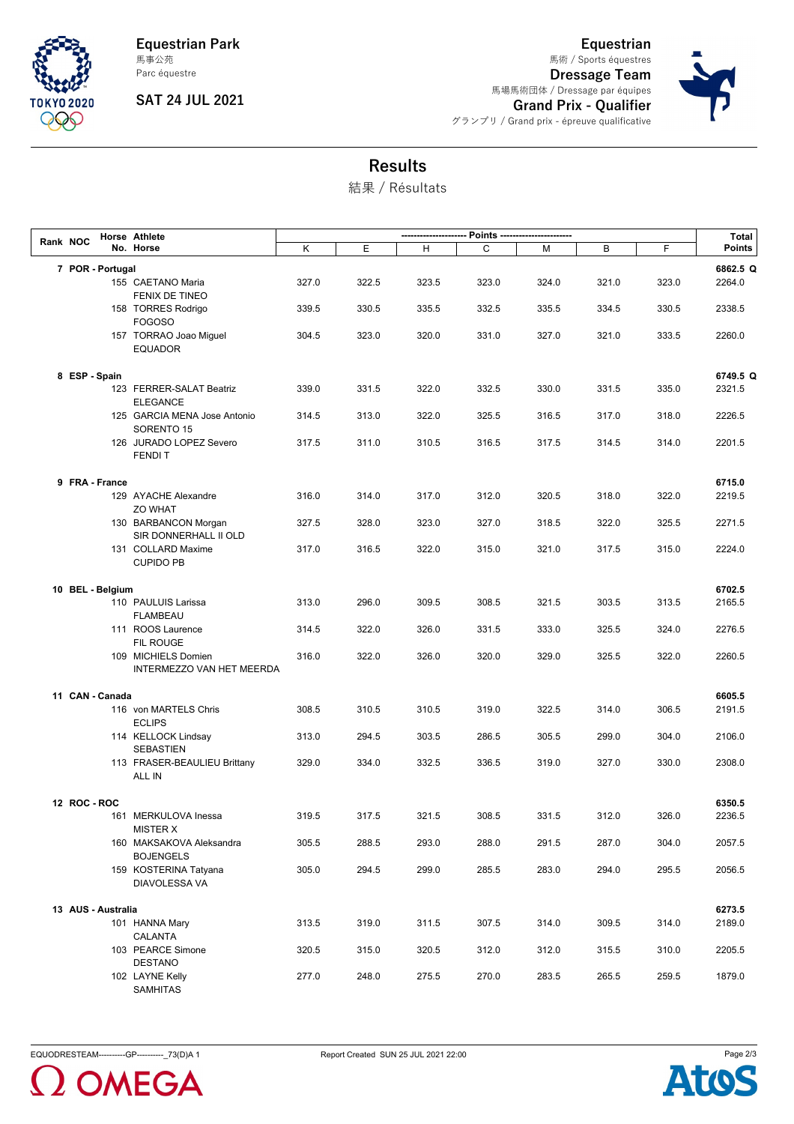

**Equestrian Park** Parc équestre 馬事公苑

**SAT 24 JUL 2021**

**Equestrian Dressage Team** 馬場馬術団体 / Dressage par équipes **Grand Prix - Qualifier** グランプリ / Grand prix - épreuve qualificative 馬術 / Sports équestres



**Results**

結果 / Résultats

| Rank NOC         |                    | Horse Athlete<br>No. Horse                       |       |       |       |       |       |       |       |                    |
|------------------|--------------------|--------------------------------------------------|-------|-------|-------|-------|-------|-------|-------|--------------------|
|                  |                    |                                                  | Κ     | E     | н     | C     | м     | В     | F     | <b>Points</b>      |
| 7 POR - Portugal |                    |                                                  |       |       |       |       |       |       |       | 6862.5 Q           |
|                  |                    | 155 CAETANO Maria                                | 327.0 | 322.5 | 323.5 | 323.0 | 324.0 | 321.0 | 323.0 | 2264.0             |
|                  |                    | FENIX DE TINEO                                   |       |       |       |       |       |       |       |                    |
|                  |                    | 158 TORRES Rodrigo                               | 339.5 | 330.5 | 335.5 | 332.5 | 335.5 | 334.5 | 330.5 | 2338.5             |
|                  |                    | <b>FOGOSO</b>                                    |       |       |       |       |       |       |       |                    |
|                  |                    | 157 TORRAO Joao Miguel<br>EQUADOR                | 304.5 | 323.0 | 320.0 | 331.0 | 327.0 | 321.0 | 333.5 | 2260.0             |
|                  |                    |                                                  |       |       |       |       |       |       |       |                    |
| 8 ESP - Spain    |                    | 123 FERRER-SALAT Beatriz                         | 339.0 | 331.5 | 322.0 | 332.5 | 330.0 | 331.5 | 335.0 | 6749.5 Q<br>2321.5 |
|                  |                    | <b>ELEGANCE</b>                                  |       |       |       |       |       |       |       |                    |
|                  |                    | 125 GARCIA MENA Jose Antonio                     | 314.5 | 313.0 | 322.0 | 325.5 | 316.5 | 317.0 | 318.0 | 2226.5             |
|                  |                    | SORENTO 15                                       |       |       |       |       |       |       |       |                    |
|                  |                    | 126 JURADO LOPEZ Severo<br><b>FENDIT</b>         | 317.5 | 311.0 | 310.5 | 316.5 | 317.5 | 314.5 | 314.0 | 2201.5             |
|                  |                    |                                                  |       |       |       |       |       |       |       |                    |
|                  | 9 FRA - France     |                                                  |       |       |       |       |       |       |       | 6715.0             |
|                  |                    | 129 AYACHE Alexandre<br><b>ZO WHAT</b>           | 316.0 | 314.0 | 317.0 | 312.0 | 320.5 | 318.0 | 322.0 | 2219.5             |
|                  |                    | 130 BARBANCON Morgan                             | 327.5 | 328.0 | 323.0 | 327.0 | 318.5 | 322.0 | 325.5 | 2271.5             |
|                  |                    | SIR DONNERHALL II OLD                            |       |       |       |       |       |       |       |                    |
|                  |                    | 131 COLLARD Maxime                               | 317.0 | 316.5 | 322.0 | 315.0 | 321.0 | 317.5 | 315.0 | 2224.0             |
|                  |                    | <b>CUPIDO PB</b>                                 |       |       |       |       |       |       |       |                    |
|                  | 10 BEL - Belgium   |                                                  |       |       |       |       |       |       |       | 6702.5             |
|                  |                    | 110 PAULUIS Larissa                              | 313.0 | 296.0 | 309.5 | 308.5 | 321.5 | 303.5 | 313.5 | 2165.5             |
|                  |                    | <b>FLAMBEAU</b>                                  |       |       |       |       |       |       |       |                    |
|                  |                    | 111 ROOS Laurence                                | 314.5 | 322.0 | 326.0 | 331.5 | 333.0 | 325.5 | 324.0 | 2276.5             |
|                  |                    | FIL ROUGE                                        |       |       |       |       |       |       |       |                    |
|                  |                    | 109 MICHIELS Domien<br>INTERMEZZO VAN HET MEERDA | 316.0 | 322.0 | 326.0 | 320.0 | 329.0 | 325.5 | 322.0 | 2260.5             |
|                  | 11 CAN - Canada    |                                                  |       |       |       |       |       |       |       | 6605.5             |
|                  |                    | 116 von MARTELS Chris                            | 308.5 | 310.5 | 310.5 | 319.0 | 322.5 | 314.0 | 306.5 | 2191.5             |
|                  |                    | <b>ECLIPS</b>                                    |       |       |       |       |       |       |       |                    |
|                  |                    | 114 KELLOCK Lindsay                              | 313.0 | 294.5 | 303.5 | 286.5 | 305.5 | 299.0 | 304.0 | 2106.0             |
|                  |                    | <b>SEBASTIEN</b>                                 |       |       |       |       |       |       |       |                    |
|                  |                    | 113 FRASER-BEAULIEU Brittany<br>ALL IN           | 329.0 | 334.0 | 332.5 | 336.5 | 319.0 | 327.0 | 330.0 | 2308.0             |
|                  |                    |                                                  |       |       |       |       |       |       |       |                    |
| 12 ROC - ROC     |                    |                                                  |       |       |       |       |       |       |       | 6350.5             |
|                  |                    | 161 MERKULOVA Inessa                             | 319.5 | 317.5 | 321.5 | 308.5 | 331.5 | 312.0 | 326.0 | 2236.5             |
|                  |                    | MISTER X<br>160 MAKSAKOVA Aleksandra             | 305.5 | 288.5 | 293.0 | 288.0 | 291.5 | 287.0 | 304.0 | 2057.5             |
|                  |                    | <b>BOJENGELS</b>                                 |       |       |       |       |       |       |       |                    |
|                  |                    | 159 KOSTERINA Tatyana                            | 305.0 | 294.5 | 299.0 | 285.5 | 283.0 | 294.0 | 295.5 | 2056.5             |
|                  |                    | DIAVOLESSA VA                                    |       |       |       |       |       |       |       |                    |
|                  | 13 AUS - Australia |                                                  |       |       |       |       |       |       |       | 6273.5             |
|                  |                    | 101 HANNA Mary                                   | 313.5 | 319.0 | 311.5 | 307.5 | 314.0 | 309.5 | 314.0 | 2189.0             |
|                  |                    | CALANTA                                          |       |       |       |       |       |       |       |                    |
|                  |                    | 103 PEARCE Simone                                | 320.5 | 315.0 | 320.5 | 312.0 | 312.0 | 315.5 | 310.0 | 2205.5             |
|                  |                    | <b>DESTANO</b>                                   |       |       |       |       |       |       |       |                    |
|                  |                    | 102 LAYNE Kelly                                  | 277.0 | 248.0 | 275.5 | 270.0 | 283.5 | 265.5 | 259.5 | 1879.0             |
|                  |                    | SAMHITAS                                         |       |       |       |       |       |       |       |                    |